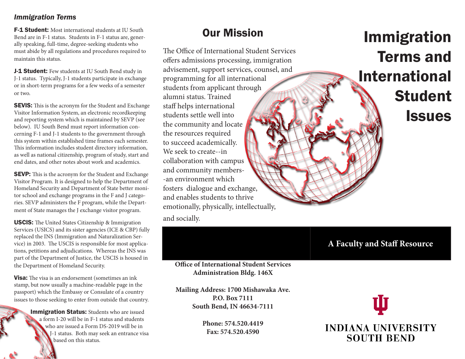#### *Immigration Terms*

**F-1 Student:** Most international students at IU South Bend are in F-1 status. Students in F-1 status are, generally speaking, full-time, degree-seeking students who must abide by all regulations and procedures required to maintain this status.

**J-1 Student:** Few students at IU South Bend study in J-1 status. Typically, J-1 students participate in exchange or in short-term programs for a few weeks of a semester or two.

**SEVIS:** This is the acronym for the Student and Exchange Visitor Information System, an electronic recordkeeping and reporting system which is maintained by SEVP (see below). IU South Bend must report information concerning F-1 and J-1 students to the government through this system within established time frames each semester. This information includes student directory information, as well as national citizenship, program of study, start and end dates, and other notes about work and academics.

SEVP: This is the acronym for the Student and Exchange Visitor Program. It is designed to help the Department of Homeland Security and Department of State better monitor school and exchange programs in the F and J categories. SEVP administers the F program, while the Department of State manages the J exchange visitor program.

USCIS: The United States Citizenship & Immigration Services (USICS) and its sister agencies (ICE & CBP) fully replaced the INS (Immigration and Naturalization Service) in 2003. The USCIS is responsible for most applications, petitions and adjudications. Whereas the INS was part of the Department of Justice, the USCIS is housed in the Department of Homeland Security.

**Visa:** The visa is an endorsement (sometimes an ink) stamp, but now usually a machine-readable page in the passport) which the Embassy or Consulate of a country issues to those seeking to enter from outside that country.

> **Immigration Status:** Students who are issued a form I-20 will be in F-1 status and students who are issued a Form DS-2019 will be in J-1 status. Both may seek an entrance visa based on this status.

## Our Mission

The Office of International Student Services offers admissions processing, immigration advisement, support services, counsel, and programming for all international students from applicant through alumni status. Trained staff helps international students settle well into the community and locate the resources required to succeed academically. We seek to create--in collaboration with campus and community members- -an environment which fosters dialogue and exchange, and enables students to thrive emotionally, physically, intellectually,

and socially.

# Immigration Terms and International Student **Issues**

## **A Faculty and Staff Resource**

**Office of International Student Services Administration Bldg. 146X**

**Mailing Address: 1700 Mishawaka Ave. P.O. Box 7111 South Bend, IN 46634-7111**

> **Phone: 574.520.4419 Fax: 574.520.4590**